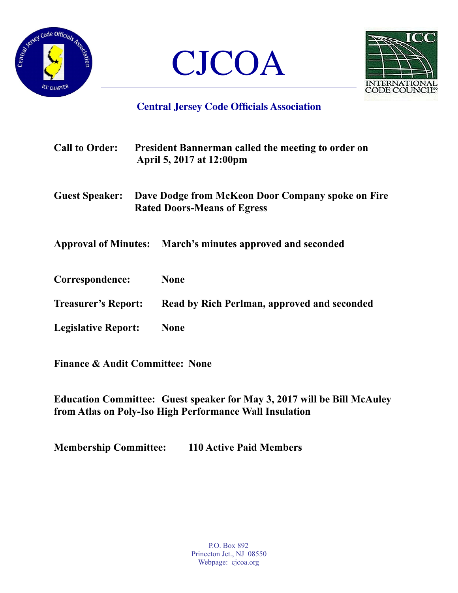





## **Central Jersey Code Officials Association**

| <b>Call to Order:</b>      |  | <b>President Bannerman called the meeting to order on</b><br>April 5, 2017 at 12:00pm<br>Dave Dodge from McKeon Door Company spoke on Fire<br><b>Rated Doors-Means of Egress</b> |  |
|----------------------------|--|----------------------------------------------------------------------------------------------------------------------------------------------------------------------------------|--|
| <b>Guest Speaker:</b>      |  |                                                                                                                                                                                  |  |
|                            |  | Approval of Minutes: March's minutes approved and seconded                                                                                                                       |  |
| Correspondence:            |  | <b>None</b>                                                                                                                                                                      |  |
| <b>Treasurer's Report:</b> |  | Read by Rich Perlman, approved and seconded                                                                                                                                      |  |
| <b>Legislative Report:</b> |  | <b>None</b>                                                                                                                                                                      |  |

**Finance & Audit Committee: None** 

**Education Committee: Guest speaker for May 3, 2017 will be Bill McAuley from Atlas on Poly-Iso High Performance Wall Insulation** 

**Membership Committee: 110 Active Paid Members**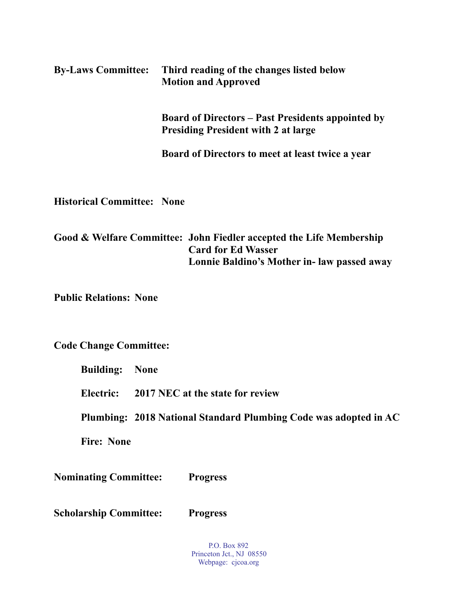| <b>By-Laws Committee:</b>         | Third reading of the changes listed below<br><b>Motion and Approved</b>                                                                         |
|-----------------------------------|-------------------------------------------------------------------------------------------------------------------------------------------------|
|                                   | <b>Board of Directors – Past Presidents appointed by</b><br><b>Presiding President with 2 at large</b>                                          |
|                                   | Board of Directors to meet at least twice a year                                                                                                |
| <b>Historical Committee: None</b> |                                                                                                                                                 |
|                                   | Good & Welfare Committee: John Fiedler accepted the Life Membership<br><b>Card for Ed Wasser</b><br>Lonnie Baldino's Mother in- law passed away |
| <b>Public Relations: None</b>     |                                                                                                                                                 |

**Code Change Committee:** 

 **Building: None** 

 **Electric: 2017 NEC at the state for review** 

**Plumbing: 2018 National Standard Plumbing Code was adopted in AC** 

 **Fire: None** 

**Nominating Committee: Progress** 

**Scholarship Committee: Progress** 

P.O. Box 892 Princeton Jct., NJ 08550 Webpage: cjcoa.org